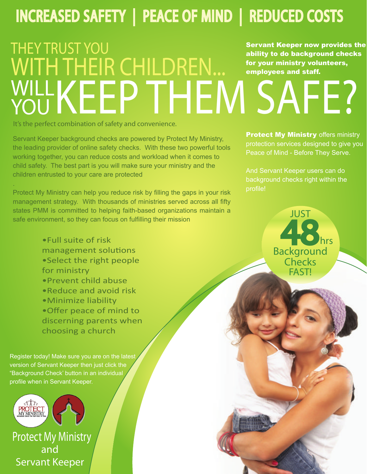# INCREASED SAFETY | PEACE OF MIND | REDUCED COSTS

# THEY TRUST YOU WITH THEIR CHILDREN... WILLKEEP THEM SAFE? YOU Servant Keeper now provides the ability to do background checks for your ministry volunteers, employees and staff.

It's the perfect combination of safety and convenience.

Servant Keeper background checks are powered by Protect My Ministry, the leading provider of online safety checks. With these two powerful tools working together, you can reduce costs and workload when it comes to child safety. The best part is you will make sure your ministry and the children entrusted to your care are protected

Protect My Ministry can help you reduce risk by filling the gaps in your risk management strategy. With thousands of ministries served across all fifty states PMM is committed to helping faith-based organizations maintain a safe environment, so they can focus on fulfilling their mission

> •Full suite of risk management solutions •Select the right people for ministry •Prevent child abuse •Reduce and avoid risk •Minimize liability •Offer peace of mind to

> discerning parents when choosing a church

Register today! Make sure you are on the latest version of Servant Keeper then just click the "Background Check' button in an individual profile when in Servant Keeper.



.

and Servant Keeper Protect My Ministry **Protect My Ministry offers ministry** protection services designed to give you Peace of Mind - Before They Serve.

And Servant Keeper users can do background checks right within the profile!